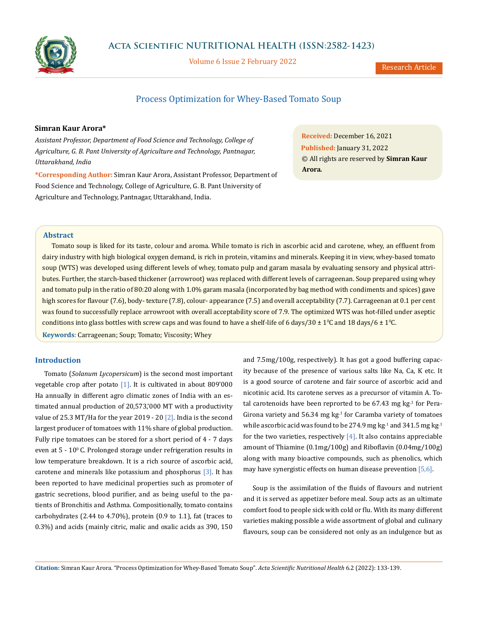

Volume 6 Issue 2 February 2022

# Process Optimization for Whey-Based Tomato Soup

# **Simran Kaur Arora\***

*Assistant Professor, Department of Food Science and Technology, College of Agriculture, G. B. Pant University of Agriculture and Technology, Pantnagar, Uttarakhand, India*

**\*Corresponding Author:** Simran Kaur Arora, Assistant Professor, Department of Food Science and Technology, College of Agriculture, G. B. Pant University of Agriculture and Technology, Pantnagar, Uttarakhand, India.

**Received:** December 16, 2021 **Published:** January 31, 2022 © All rights are reserved by **Simran Kaur Arora***.*

### **Abstract**

Tomato soup is liked for its taste, colour and aroma. While tomato is rich in ascorbic acid and carotene, whey, an effluent from dairy industry with high biological oxygen demand, is rich in protein, vitamins and minerals. Keeping it in view, whey-based tomato soup (WTS) was developed using different levels of whey, tomato pulp and garam masala by evaluating sensory and physical attributes. Further, the starch-based thickener (arrowroot) was replaced with different levels of carrageenan. Soup prepared using whey and tomato pulp in the ratio of 80:20 along with 1.0% garam masala (incorporated by bag method with condiments and spices) gave high scores for flavour (7.6), body-texture (7.8), colour-appearance (7.5) and overall acceptability (7.7). Carrageenan at 0.1 per cent was found to successfully replace arrowroot with overall acceptability score of 7.9. The optimized WTS was hot-filled under aseptic conditions into glass bottles with screw caps and was found to have a shelf-life of 6 days/30  $\pm$  1<sup>o</sup>C and 18 days/6  $\pm$  1<sup>o</sup>C.

**Keywords**: Carrageenan; Soup; Tomato; Viscosity; Whey

# **Introduction**

Tomato (*Solanum Lycopersicum*) is the second most important vegetable crop after potato [1]. It is cultivated in about 809'000 Ha annually in different agro climatic zones of India with an estimated annual production of 20,573,'000 MT with a productivity value of 25.3 MT/Ha for the year 2019 - 20  $[2]$ . India is the second largest producer of tomatoes with 11% share of global production. Fully ripe tomatoes can be stored for a short period of 4 - 7 days even at  $5 - 10^{\circ}$ C. Prolonged storage under refrigeration results in low temperature breakdown. It is a rich source of ascorbic acid, carotene and minerals like potassium and phosphorus  $\lceil 3 \rceil$ . It has been reported to have medicinal properties such as promoter of gastric secretions, blood purifier, and as being useful to the patients of Bronchitis and Asthma. Compositionally, tomato contains carbohydrates (2.44 to 4.70%), protein (0.9 to 1.1), fat (traces to 0.3%) and acids (mainly citric, malic and oxalic acids as 390, 150 and 7.5mg/100g, respectively). It has got a good buffering capacity because of the presence of various salts like Na, Ca, K etc. It is a good source of carotene and fair source of ascorbic acid and nicotinic acid. Its carotene serves as a precursor of vitamin A. Total carotenoids have been reprorted to be  $67.43$  mg kg $^{-1}$  for Pera-Girona variety and  $56.34$  mg kg $^{-1}$  for Caramba variety of tomatoes while ascorbic acid was found to be 274.9 mg  $kg<sup>-1</sup>$  and 341.5 mg  $kg<sup>-1</sup>$ for the two varieties, respectively  $[4]$ . It also contains appreciable amount of Thiamine (0.1mg/100g) and Riboflavin (0.04mg/100g) along with many bioactive compounds, such as phenolics, which may have synergistic effects on human disease prevention [5,6].

Soup is the assimilation of the fluids of flavours and nutrient and it is served as appetizer before meal. Soup acts as an ultimate comfort food to people sick with cold or flu. With its many different varieties making possible a wide assortment of global and culinary flavours, soup can be considered not only as an indulgence but as

**Citation:** Simran Kaur Arora*.* "Process Optimization for Whey-Based Tomato Soup". *Acta Scientific Nutritional Health* 6.2 (2022): 133-139.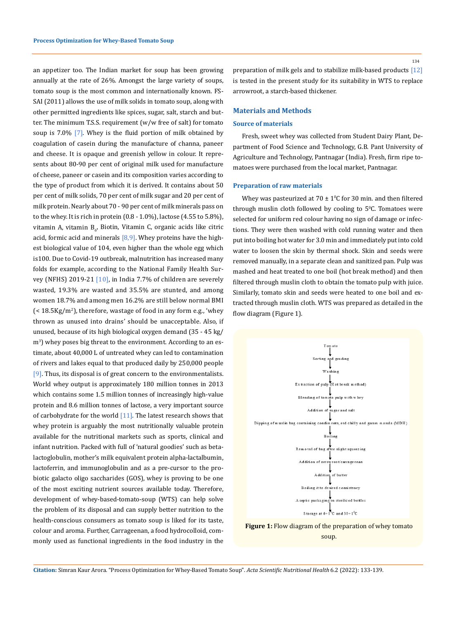an appetizer too. The Indian market for soup has been growing annually at the rate of 26%. Amongst the large variety of soups, tomato soup is the most common and internationally known. FS-SAI (2011) allows the use of milk solids in tomato soup, along with other permitted ingredients like spices, sugar, salt, starch and butter. The minimum T.S.S. requirement (w/w free of salt) for tomato soup is 7.0% [7]. Whey is the fluid portion of milk obtained by coagulation of casein during the manufacture of channa, paneer and cheese. It is opaque and greenish yellow in colour. It represents about 80-90 per cent of original milk used for manufacture of cheese, paneer or casein and its composition varies according to the type of product from which it is derived. It contains about 50 per cent of milk solids, 70 per cent of milk sugar and 20 per cent of milk protein. Nearly about 70 - 90 per cent of milk minerals pass on to the whey. It is rich in protein (0.8 - 1.0%), lactose (4.55 to 5.8%), vitamin A, vitamin  $B_{6}$ , Biotin, Vitamin C, organic acids like citric acid, formic acid and minerals  $[8,9]$ . Whey proteins have the highest biological value of 104, even higher than the whole egg which is100. Due to Covid-19 outbreak, malnutrition has increased many folds for example, according to the [National Family Health Sur](http://rchiips.org/nfhs/NFHS-5_FCTS/India.pdf)[vey \(NFHS\) 2019-21](http://rchiips.org/nfhs/NFHS-5_FCTS/India.pdf) [10], in India 7.7% of children are severely wasted, 19.3% are wasted and 35.5% are stunted, and among women 18.7% and among men 16.2% are still below normal BMI  $\approx$  18.5Kg/m<sup>2</sup>), therefore, wastage of food in any form e.g., 'whey thrown as unused into drains' should be unacceptable. Also, if unused, because of its high biological oxygen demand (35 - 45 kg/ m3 ) whey poses big threat to the environment. According to an estimate, about 40,000 L of untreated whey can led to contamination of rivers and lakes equal to that produced daily by 250,000 people [9]. Thus, its disposal is of great concern to the environmentalists. World whey output is approximately 180 million tonnes in 2013 which contains some 1.5 million tonnes of increasingly high-value protein and 8.6 million tonnes of lactose, a very important source of carbohydrate for the world [11]*.* The latest research shows that whey protein is arguably the most nutritionally valuable protein available for the nutritional markets such as sports, clinical and infant nutrition. Packed with full of 'natural goodies' such as betalactoglobulin, mother's milk equivalent protein alpha-lactalbumin, lactoferrin, and immunoglobulin and as a pre-cursor to the probiotic galacto oligo saccharides (GOS), whey is proving to be one of the most exciting nutrient sources available today. Therefore, development of whey-based-tomato-soup (WTS) can help solve the problem of its disposal and can supply better nutrition to the health-conscious consumers as tomato soup is liked for its taste, colour and aroma. Further, Carrageenan, a food hydrocolloid, commonly used as functional ingredients in the food industry in the

preparation of milk gels and to stabilize milk-based products [12] is tested in the present study for its suitability in WTS to replace arrowroot, a starch-based thickener.

#### **Materials and Methods**

#### **Source of materials**

Fresh, sweet whey was collected from Student Dairy Plant, Department of Food Science and Technology, G.B. Pant University of Agriculture and Technology, Pantnagar (India). Fresh, firm ripe tomatoes were purchased from the local market, Pantnagar.

#### **Preparation of raw materials**

Whey was pasteurized at 70  $\pm$  1°C for 30 min. and then filtered through muslin cloth followed by cooling to 5°C. Tomatoes were selected for uniform red colour having no sign of damage or infections. They were then washed with cold running water and then put into boiling hot water for 3.0 min and immediately put into cold water to loosen the skin by thermal shock. Skin and seeds were removed manually, in a separate clean and sanitized pan. Pulp was mashed and heat treated to one boil (hot break method) and then filtered through muslin cloth to obtain the tomato pulp with juice. Similarly, tomato skin and seeds were heated to one boil and extracted through muslin cloth. WTS was prepared as detailed in the flow diagram (Figure 1).



**Figure 1:** Flow diagram of the preparation of whey tomato soup.

**Citation:** Simran Kaur Arora*.* "Process Optimization for Whey-Based Tomato Soup". *Acta Scientific Nutritional Health* 6.2 (2022): 133-139.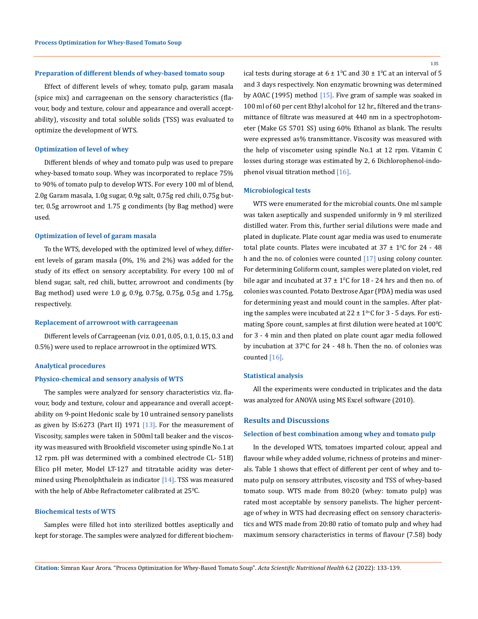#### **Preparation of different blends of whey-based tomato soup**

Effect of different levels of whey, tomato pulp, garam masala (spice mix) and carrageenan on the sensory characteristics (flavour, body and texture, colour and appearance and overall acceptability), viscosity and total soluble solids (TSS) was evaluated to optimize the development of WTS.

## **Optimization of level of whey**

Different blends of whey and tomato pulp was used to prepare whey-based tomato soup. Whey was incorporated to replace 75% to 90% of tomato pulp to develop WTS. For every 100 ml of blend, 2.0g Garam masala, 1.0g sugar, 0.9g salt, 0.75g red chili, 0.75g butter, 0.5g arrowroot and 1.75 g condiments (by Bag method) were used.

#### **Optimization of level of garam masala**

To the WTS, developed with the optimized level of whey, different levels of garam masala (0%, 1% and 2%) was added for the study of its effect on sensory acceptability. For every 100 ml of blend sugar, salt, red chili, butter, arrowroot and condiments (by Bag method) used were 1.0 g, 0.9g, 0.75g, 0.75g, 0.5g and 1.75g, respectively.

#### **Replacement of arrowroot with carrageenan**

Different levels of Carrageenan (viz. 0.01, 0.05, 0.1, 0.15, 0.3 and 0.5%) were used to replace arrowroot in the optimized WTS.

## **Analytical procedures**

#### **Physico-chemical and sensory analysis of WTS**

The samples were analyzed for sensory characteristics viz. flavour, body and texture, colour and appearance and overall acceptability on 9-point Hedonic scale by 10 untrained sensory panelists as given by IS:6273 (Part II) 1971  $[13]$ . For the measurement of Viscosity, samples were taken in 500ml tall beaker and the viscosity was measured with Brookfield viscometer using spindle No.1 at 12 rpm. pH was determined with a combined electrode CL- 51B) Elico pH meter, Model LT-127 and titratable acidity was determined using Phenolphthalein as indicator  $[14]$ . TSS was measured with the help of Abbe Refractometer calibrated at  $25^{\circ}$ C.

## **Biochemical tests of WTS**

Samples were filled hot into sterilized bottles aseptically and kept for storage. The samples were analyzed for different biochem135

ical tests during storage at  $6 \pm 1$ <sup>o</sup>C and  $30 \pm 1$ <sup>o</sup>C at an interval of 5 and 3 days respectively. Non enzymatic browning was determined by AOAC (1995) method  $[15]$ . Five gram of sample was soaked in 100 ml of 60 per cent Ethyl alcohol for 12 hr., filtered and the transmittance of filtrate was measured at 440 nm in a spectrophotometer (Make GS 5701 SS) using 60% Ethanol as blank. The results were expressed as% transmittance. Viscosity was measured with the help of viscometer using spindle No.1 at 12 rpm. Vitamin C losses during storage was estimated by 2, 6 Dichlorophenol-indophenol visual titration method [16].

## **Microbiological tests**

WTS were enumerated for the microbial counts. One ml sample was taken aseptically and suspended uniformly in 9 ml sterilized distilled water. From this, further serial dilutions were made and plated in duplicate. Plate count agar media was used to enumerate total plate counts. Plates were incubated at  $37 \pm 1$  °C for 24 - 48 h and the no. of colonies were counted [17] using colony counter. For determining Coliform count, samples were plated on violet, red bile agar and incubated at  $37 \pm 1$  °C for  $18$  - 24 hrs and then no. of colonies was counted. Potato Dextrose Agar (PDA) media was used for determining yeast and mould count in the samples. After plating the samples were incubated at  $22 \pm 1^{0+}$ C for 3 - 5 days. For estimating Spore count, samples at first dilution were heated at  $100\mathrm{^oC}$ for 3 - 4 min and then plated on plate count agar media followed by incubation at  $37^{\circ}$ C for 24 - 48 h. Then the no. of colonies was counted [16].

#### **Statistical analysis**

All the experiments were conducted in triplicates and the data was analyzed for ANOVA using MS Excel software (2010).

## **Results and Discussions**

#### **Selection of best combination among whey and tomato pulp**

In the developed WTS, tomatoes imparted colour, appeal and flavour while whey added volume, richness of proteins and minerals. Table 1 shows that effect of different per cent of whey and tomato pulp on sensory attributes, viscosity and TSS of whey-based tomato soup. WTS made from 80:20 (whey: tomato pulp) was rated most acceptable by sensory panelists. The higher percentage of whey in WTS had decreasing effect on sensory characteristics and WTS made from 20:80 ratio of tomato pulp and whey had maximum sensory characteristics in terms of flavour (7.58) body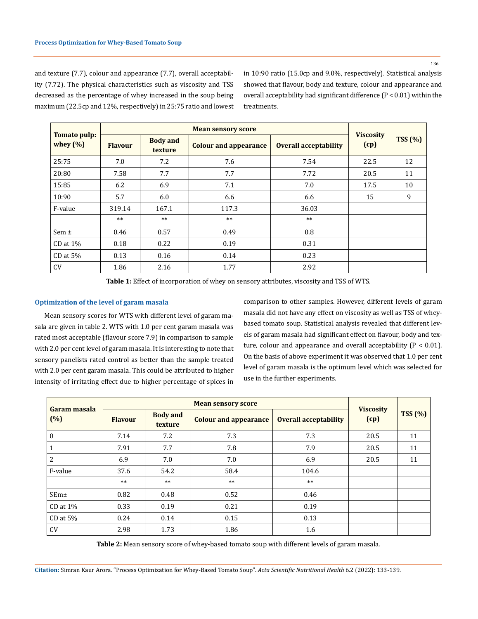136

and texture (7.7), colour and appearance (7.7), overall acceptability (7.72). The physical characteristics such as viscosity and TSS decreased as the percentage of whey increased in the soup being maximum (22.5cp and 12%, respectively) in 25:75 ratio and lowest in 10:90 ratio (15.0cp and 9.0%, respectively). Statistical analysis showed that flavour, body and texture, colour and appearance and overall acceptability had significant difference (P < 0.01) within the treatments.

| Tomato pulp:<br>whey $(\%)$ |                |                            |                              |                              |                          |                |
|-----------------------------|----------------|----------------------------|------------------------------|------------------------------|--------------------------|----------------|
|                             | <b>Flavour</b> | <b>Body and</b><br>texture | <b>Colour and appearance</b> | <b>Overall acceptability</b> | <b>Viscosity</b><br>(cp) | <b>TSS (%)</b> |
| 25:75                       | 7.0            | 7.2                        | 7.6                          | 7.54                         | 22.5                     | 12             |
| 20:80                       | 7.58           | 7.7                        | 7.7                          | 7.72                         | 20.5                     | 11             |
| 15:85                       | 6.2            | 6.9                        | 7.1                          | 7.0                          | 17.5                     | 10             |
| 10:90                       | 5.7            | 6.0                        | 6.6                          | 6.6                          | 15                       | 9              |
| F-value                     | 319.14         | 167.1                      | 117.3                        | 36.03                        |                          |                |
|                             | $***$          | $**$                       | $**$                         | $**$                         |                          |                |
| Sem $\pm$                   | 0.46           | 0.57                       | 0.49                         | 0.8                          |                          |                |
| $CD$ at $1\%$               | 0.18           | 0.22                       | 0.19                         | 0.31                         |                          |                |
| $CD$ at $5\%$               | 0.13           | 0.16                       | 0.14                         | 0.23                         |                          |                |
| <b>CV</b>                   | 1.86           | 2.16                       | 1.77                         | 2.92                         |                          |                |

**Table 1:** Effect of incorporation of whey on sensory attributes, viscosity and TSS of WTS.

## **Optimization of the level of garam masala**

Mean sensory scores for WTS with different level of garam masala are given in table 2. WTS with 1.0 per cent garam masala was rated most acceptable (flavour score 7.9) in comparison to sample with 2.0 per cent level of garam masala. It is interesting to note that sensory panelists rated control as better than the sample treated with 2.0 per cent garam masala. This could be attributed to higher intensity of irritating effect due to higher percentage of spices in comparison to other samples. However, different levels of garam masala did not have any effect on viscosity as well as TSS of wheybased tomato soup. Statistical analysis revealed that different levels of garam masala had significant effect on flavour, body and texture, colour and appearance and overall acceptability ( $P < 0.01$ ). On the basis of above experiment it was observed that 1.0 per cent level of garam masala is the optimum level which was selected for use in the further experiments.

| Garam masala<br>(%) |                |                            |                              |                              |                          |           |
|---------------------|----------------|----------------------------|------------------------------|------------------------------|--------------------------|-----------|
|                     | <b>Flavour</b> | <b>Body and</b><br>texture | <b>Colour and appearance</b> | <b>Overall acceptability</b> | <b>Viscosity</b><br>(cp) | $TSS(\%)$ |
| $\mathbf{0}$        | 7.14           | 7.2                        | 7.3                          | 7.3                          | 20.5                     | 11        |
| 1                   | 7.91           | 7.7                        | 7.8                          | 7.9                          | 20.5                     | 11        |
| 2                   | 6.9            | 7.0                        | 7.0                          | 6.9                          | 20.5                     | 11        |
| F-value             | 37.6           | 54.2                       | 58.4                         | 104.6                        |                          |           |
|                     | $***$          | $**$                       | $**$                         | $**$                         |                          |           |
| SEm <sub>±</sub>    | 0.82           | 0.48                       | 0.52                         | 0.46                         |                          |           |
| $CD$ at $1\%$       | 0.33           | 0.19                       | 0.21                         | 0.19                         |                          |           |
| CD at $5%$          | 0.24           | 0.14                       | 0.15                         | 0.13                         |                          |           |
| <b>CV</b>           | 2.98           | 1.73                       | 1.86                         | 1.6                          |                          |           |

**Table 2:** Mean sensory score of whey-based tomato soup with different levels of garam masala.

**Citation:** Simran Kaur Arora*.* "Process Optimization for Whey-Based Tomato Soup". *Acta Scientific Nutritional Health* 6.2 (2022): 133-139.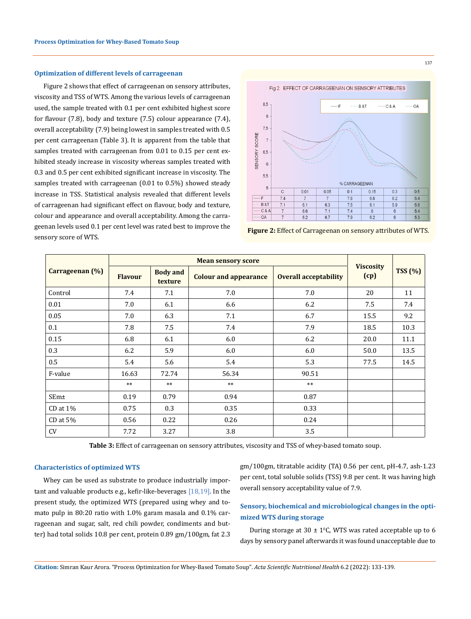## **Optimization of different levels of carrageenan**

Figure 2 shows that effect of carrageenan on sensory attributes, viscosity and TSS of WTS. Among the various levels of carrageenan used, the sample treated with 0.1 per cent exhibited highest score for flavour (7.8), body and texture (7.5) colour appearance (7.4), overall acceptability (7.9) being lowest in samples treated with 0.5 per cent carrageenan (Table 3). It is apparent from the table that samples treated with carrageenan from 0.01 to 0.15 per cent exhibited steady increase in viscosity whereas samples treated with 0.3 and 0.5 per cent exhibited significant increase in viscosity. The samples treated with carrageenan (0.01 to 0.5%) showed steady increase in TSS. Statistical analysis revealed that different levels of carrageenan had significant effect on flavour, body and texture, colour and appearance and overall acceptability. Among the carrageenan levels used 0.1 per cent level was rated best to improve the sensory score of WTS.



**Figure 2:** Effect of Carrageenan on sensory attributes of WTS.

| Carrageenan (%) | <b>Flavour</b> | <b>Body and</b><br>texture | <b>Colour and appearance</b> | <b>Overall acceptability</b> | <b>Viscosity</b><br>(cp) | <b>TSS</b> (%) |
|-----------------|----------------|----------------------------|------------------------------|------------------------------|--------------------------|----------------|
| Control         | 7.4            | 7.1                        | 7.0                          | 7.0                          | 20                       | 11             |
| 0.01            | 7.0            | 6.1                        | 6.6                          | 6.2                          | 7.5                      | 7.4            |
| 0.05            | 7.0            | 6.3                        | 7.1                          | 6.7                          | 15.5                     | 9.2            |
| 0.1             | 7.8            | 7.5                        | 7.4                          | 7.9                          | 18.5                     | 10.3           |
| 0.15            | 6.8            | 6.1                        | 6.0                          | 6.2                          | 20.0                     | 11.1           |
| 0.3             | 6.2            | 5.9                        | 6.0                          | 6.0                          | 50.0                     | 13.5           |
| 0.5             | 5.4            | 5.6                        | 5.4                          | 5.3                          | 77.5                     | 14.5           |
| F-value         | 16.63          | 72.74                      | 56.34                        | 90.51                        |                          |                |
|                 | $**$           | $**$                       | $**$                         | $**$                         |                          |                |
| SEm±            | 0.19           | 0.79                       | 0.94                         | 0.87                         |                          |                |
| $CD$ at $1\%$   | 0.75           | 0.3                        | 0.35                         | 0.33                         |                          |                |
| $CD$ at $5\%$   | 0.56           | 0.22                       | 0.26                         | 0.24                         |                          |                |
| <b>CV</b>       | 7.72           | 3.27                       | 3.8                          | 3.5                          |                          |                |

**Table 3:** Effect of carrageenan on sensory attributes, viscosity and TSS of whey-based tomato soup.

## **Characteristics of optimized WTS**

Whey can be used as substrate to produce industrially important and valuable products e.g., kefir-like-beverages  $[18,19]$ . In the present study, the optimized WTS (prepared using whey and tomato pulp in 80:20 ratio with 1.0% garam masala and 0.1% carrageenan and sugar, salt, red chili powder, condiments and butter) had total solids 10.8 per cent, protein 0.89 gm/100gm, fat 2.3 gm/100gm, titratable acidity (TA) 0.56 per cent, pH-4.7, ash-1.23 per cent, total soluble solids (TSS) 9.8 per cent. It was having high overall sensory acceptability value of 7.9.

# **Sensory, biochemical and microbiological changes in the optimized WTS during storage**

During storage at  $30 \pm 1$ <sup>o</sup>C, WTS was rated acceptable up to 6 days by sensory panel afterwards it was found unacceptable due to

**Citation:** Simran Kaur Arora*.* "Process Optimization for Whey-Based Tomato Soup". *Acta Scientific Nutritional Health* 6.2 (2022): 133-139.

137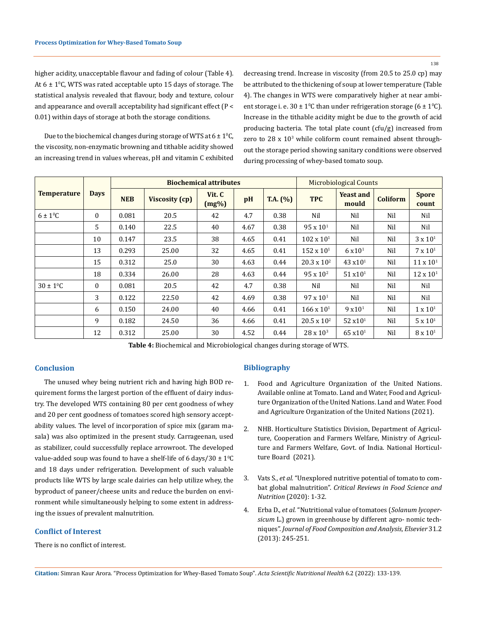138

higher acidity, unacceptable flavour and fading of colour (Table 4). At  $6 \pm 1$ °C, WTS was rated acceptable upto 15 days of storage. The statistical analysis revealed that flavour, body and texture, colour and appearance and overall acceptability had significant effect (P < 0.01) within days of storage at both the storage conditions.

Due to the biochemical changes during storage of WTS at  $6 \pm 1\degree$ C, the viscosity, non-enzymatic browning and tithable acidity showed an increasing trend in values whereas, pH and vitamin C exhibited

decreasing trend. Increase in viscosity (from 20.5 to 25.0 cp) may be attributed to the thickening of soup at lower temperature (Table 4). The changes in WTS were comparatively higher at near ambient storage i. e.  $30 \pm 1$ <sup>o</sup>C than under refrigeration storage (6  $\pm 1$ <sup>o</sup>C). Increase in the tithable acidity might be due to the growth of acid producing bacteria. The total plate count (cfu/g) increased from zero to  $28 \times 10^3$  while coliform count remained absent throughout the storage period showing sanitary conditions were observed during processing of whey-based tomato soup.

|                          | <b>Days</b>  | <b>Biochemical attributes</b> |                |                    |      |          | <b>Microbiological Counts</b> |                           |                 |                       |
|--------------------------|--------------|-------------------------------|----------------|--------------------|------|----------|-------------------------------|---------------------------|-----------------|-----------------------|
| <b>Temperature</b>       |              | <b>NEB</b>                    | Viscosity (cp) | Vit. C<br>$(mg\%)$ | pH   | T.A. (%) | <b>TPC</b>                    | <b>Yeast and</b><br>mould | <b>Coliform</b> | <b>Spore</b><br>count |
| $6 \pm 1$ <sup>o</sup> C | $\mathbf{0}$ | 0.081                         | 20.5           | 42                 | 4.7  | 0.38     | Nil                           | Nil                       | Nil             | Nil                   |
|                          | 5            | 0.140                         | 22.5           | 40                 | 4.67 | 0.38     | $95 \times 10^{1}$            | Nil                       | Nil             | Nil                   |
|                          | 10           | 0.147                         | 23.5           | 38                 | 4.65 | 0.41     | $102 \times 10^{1}$           | Nil                       | Nil             | $3 \times 10^1$       |
|                          | 13           | 0.293                         | 25.00          | 32                 | 4.65 | 0.41     | $152 \times 10^{1}$           | $6 \times 10^{1}$         | Nil             | $7 \times 10^1$       |
|                          | 15           | 0.312                         | 25.0           | 30                 | 4.63 | 0.44     | $20.3 \times 10^{2}$          | $43 \times 10^{1}$        | Nil             | $11 \times 10^{1}$    |
|                          | 18           | 0.334                         | 26.00          | 28                 | 4.63 | 0.44     | $95 \times 10^{2}$            | 51 x 10 <sup>1</sup>      | Nil             | $12 \times 10^{1}$    |
| $30 \pm 10^{\circ}$ C    | $\theta$     | 0.081                         | 20.5           | 42                 | 4.7  | 0.38     | Nil                           | Nil                       | Nil             | Nil                   |
|                          | 3            | 0.122                         | 22.50          | 42                 | 4.69 | 0.38     | $97 \times 10^{1}$            | Nil                       | Nil             | Nil                   |
|                          | 6            | 0.150                         | 24.00          | 40                 | 4.66 | 0.41     | $166 \times 10^{1}$           | 9x101                     | Nil             | $1 \times 10^{1}$     |
|                          | 9            | 0.182                         | 24.50          | 36                 | 4.66 | 0.41     | $20.5 \times 10^{2}$          | 52 x10 <sup>1</sup>       | Nil             | $5 \times 10^1$       |
|                          | 12           | 0.312                         | 25.00          | 30                 | 4.52 | 0.44     | $28 \times 10^3$              | $65 \times 10^{1}$        | Nil             | $8 \times 10^1$       |

**Table 4:** Biochemical and Microbiological changes during storage of WTS.

# **Conclusion**

The unused whey being nutrient rich and having high BOD requirement forms the largest portion of the effluent of dairy industry. The developed WTS containing 80 per cent goodness of whey and 20 per cent goodness of tomatoes scored high sensory acceptability values. The level of incorporation of spice mix (garam masala) was also optimized in the present study. Carrageenan, used as stabilizer, could successfully replace arrowroot. The developed value-added soup was found to have a shelf-life of 6 days/30  $\pm$  1°C and 18 days under refrigeration. Development of such valuable products like WTS by large scale dairies can help utilize whey, the byproduct of paneer/cheese units and reduce the burden on environment while simultaneously helping to some extent in addressing the issues of prevalent malnutrition.

## **Conflict of Interest**

There is no conflict of interest.

## **Bibliography**

- 1. [Food and Agriculture Organization of the United Nations.](https://www.fao.org/faostat/en/) [Available online at Tomato.](https://www.fao.org/faostat/en/) Land and Water, Food and Agricul[ture Organization of the United Nations. Land and Water. Food](https://www.fao.org/faostat/en/) [and Agriculture Organization of the United Nations \(2021\).](https://www.fao.org/faostat/en/)
- 2. [NHB. Horticulture Statistics Division, Department of Agricul](http://nhb.gov.in/)[ture, Cooperation and Farmers Welfare, Ministry of Agricul](http://nhb.gov.in/)[ture and Farmers Welfare, Govt. of India. National Horticul](http://nhb.gov.in/)[ture Board \(2021\).](http://nhb.gov.in/)
- 3. Vats S., *et al.* ["Unexplored nutritive potential of tomato to com](https://pubmed.ncbi.nlm.nih.gov/33086895/)bat global malnutrition". *[Critical Reviews in Food Science and](https://pubmed.ncbi.nlm.nih.gov/33086895/) Nutrition* [\(2020\): 1-32.](https://pubmed.ncbi.nlm.nih.gov/33086895/)
- 4. Erba D., *et al.* ["Nutritional value of tomatoes \(](https://www.sciencedirect.com/science/article/abs/pii/S088915751300080X)*Solanum lycopersicum* [L.\) grown in greenhouse by different agro- nomic tech](https://www.sciencedirect.com/science/article/abs/pii/S088915751300080X)niques". *[Journal of Food Composition and Analysis, Elsevier](https://www.sciencedirect.com/science/article/abs/pii/S088915751300080X)* 31.2 [\(2013\): 245-251.](https://www.sciencedirect.com/science/article/abs/pii/S088915751300080X)